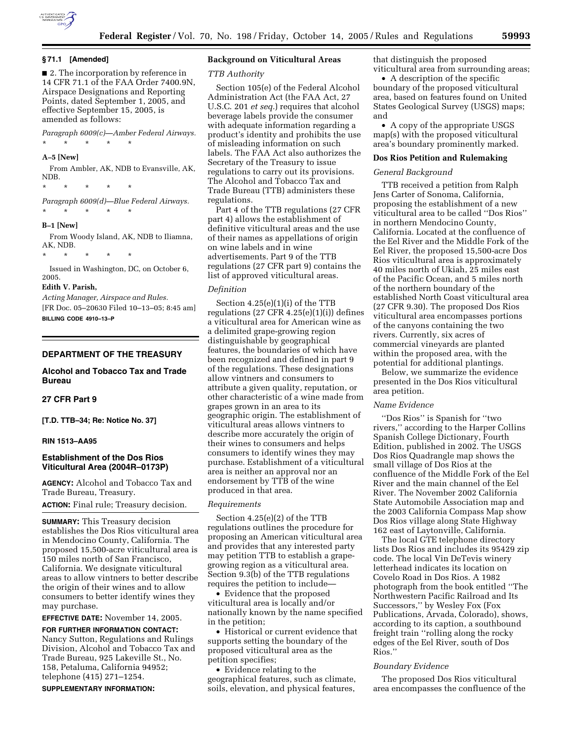

### **§ 71.1 [Amended]**

■ 2. The incorporation by reference in 14 CFR 71.1 of the FAA Order 7400.9N, Airspace Designations and Reporting Points, dated September 1, 2005, and effective September 15, 2005, is amended as follows:

*Paragraph 6009(c)—Amber Federal Airways.* 

#### **A–5 [New]**

From Ambler, AK, NDB to Evansville, AK, NDB.

\* \* \* \* \*

\* \* \* \* \*

*Paragraph 6009(d)—Blue Federal Airways.*  \* \* \* \* \*

#### **B–1 [New]**

From Woody Island, AK, NDB to Iliamna, AK, NDB.

\* \* \* \* \*

Issued in Washington, DC, on October 6, 2005.

#### **Edith V. Parish,**

*Acting Manager, Airspace and Rules.*  [FR Doc. 05–20630 Filed 10–13–05; 8:45 am] **BILLING CODE 4910–13–P** 

## **DEPARTMENT OF THE TREASURY**

## **Alcohol and Tobacco Tax and Trade Bureau**

## **27 CFR Part 9**

**[T.D. TTB–34; Re: Notice No. 37]** 

## **RIN 1513–AA95**

## **Establishment of the Dos Rios Viticultural Area (2004R–0173P)**

**AGENCY:** Alcohol and Tobacco Tax and Trade Bureau, Treasury.

**ACTION:** Final rule; Treasury decision.

**SUMMARY:** This Treasury decision establishes the Dos Rios viticultural area in Mendocino County, California. The proposed 15,500-acre viticultural area is 150 miles north of San Francisco, California. We designate viticultural areas to allow vintners to better describe the origin of their wines and to allow consumers to better identify wines they may purchase.

## **EFFECTIVE DATE:** November 14, 2005.

**FOR FURTHER INFORMATION CONTACT:**  Nancy Sutton, Regulations and Rulings Division, Alcohol and Tobacco Tax and Trade Bureau, 925 Lakeville St., No. 158, Petaluma, California 94952; telephone (415) 271–1254.

**SUPPLEMENTARY INFORMATION:** 

## **Background on Viticultural Areas**

#### *TTB Authority*

Section 105(e) of the Federal Alcohol Administration Act (the FAA Act, 27 U.S.C. 201 *et seq.*) requires that alcohol beverage labels provide the consumer with adequate information regarding a product's identity and prohibits the use of misleading information on such labels. The FAA Act also authorizes the Secretary of the Treasury to issue regulations to carry out its provisions. The Alcohol and Tobacco Tax and Trade Bureau (TTB) administers these regulations.

Part 4 of the TTB regulations (27 CFR part 4) allows the establishment of definitive viticultural areas and the use of their names as appellations of origin on wine labels and in wine advertisements. Part 9 of the TTB regulations (27 CFR part 9) contains the list of approved viticultural areas.

#### *Definition*

Section 4.25(e)(1)(i) of the TTB regulations  $(27 \text{ CFR } 4.25(e)(1)(i))$  defines a viticultural area for American wine as a delimited grape-growing region distinguishable by geographical features, the boundaries of which have been recognized and defined in part 9 of the regulations. These designations allow vintners and consumers to attribute a given quality, reputation, or other characteristic of a wine made from grapes grown in an area to its geographic origin. The establishment of viticultural areas allows vintners to describe more accurately the origin of their wines to consumers and helps consumers to identify wines they may purchase. Establishment of a viticultural area is neither an approval nor an endorsement by TTB of the wine produced in that area.

#### *Requirements*

Section 4.25(e)(2) of the TTB regulations outlines the procedure for proposing an American viticultural area and provides that any interested party may petition TTB to establish a grapegrowing region as a viticultural area. Section 9.3(b) of the TTB regulations requires the petition to include—

• Evidence that the proposed viticultural area is locally and/or nationally known by the name specified in the petition;

• Historical or current evidence that supports setting the boundary of the proposed viticultural area as the petition specifies;

• Evidence relating to the geographical features, such as climate, soils, elevation, and physical features,

that distinguish the proposed viticultural area from surrounding areas;

• A description of the specific boundary of the proposed viticultural area, based on features found on United States Geological Survey (USGS) maps; and

• A copy of the appropriate USGS map(s) with the proposed viticultural area's boundary prominently marked.

### **Dos Rios Petition and Rulemaking**

#### *General Background*

TTB received a petition from Ralph Jens Carter of Sonoma, California, proposing the establishment of a new viticultural area to be called ''Dos Rios'' in northern Mendocino County, California. Located at the confluence of the Eel River and the Middle Fork of the Eel River, the proposed 15,500-acre Dos Rios viticultural area is approximately 40 miles north of Ukiah, 25 miles east of the Pacific Ocean, and 5 miles north of the northern boundary of the established North Coast viticultural area (27 CFR 9.30). The proposed Dos Rios viticultural area encompasses portions of the canyons containing the two rivers. Currently, six acres of commercial vineyards are planted within the proposed area, with the potential for additional plantings.

Below, we summarize the evidence presented in the Dos Rios viticultural area petition.

#### *Name Evidence*

''Dos Rios'' is Spanish for ''two rivers,'' according to the Harper Collins Spanish College Dictionary, Fourth Edition, published in 2002. The USGS Dos Rios Quadrangle map shows the small village of Dos Rios at the confluence of the Middle Fork of the Eel River and the main channel of the Eel River. The November 2002 California State Automobile Association map and the 2003 California Compass Map show Dos Rios village along State Highway 162 east of Laytonville, California.

The local GTE telephone directory lists Dos Rios and includes its 95429 zip code. The local Vin DeTevis winery letterhead indicates its location on Covelo Road in Dos Rios. A 1982 photograph from the book entitled ''The Northwestern Pacific Railroad and Its Successors,'' by Wesley Fox (Fox Publications, Arvada, Colorado), shows, according to its caption, a southbound freight train ''rolling along the rocky edges of the Eel River, south of Dos Rios.''

#### *Boundary Evidence*

The proposed Dos Rios viticultural area encompasses the confluence of the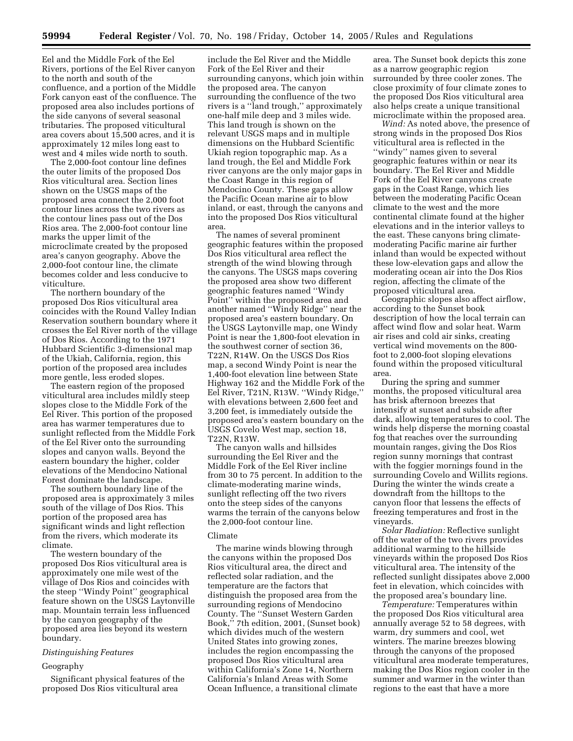Eel and the Middle Fork of the Eel Rivers, portions of the Eel River canyon to the north and south of the confluence, and a portion of the Middle Fork canyon east of the confluence. The proposed area also includes portions of the side canyons of several seasonal tributaries. The proposed viticultural area covers about 15,500 acres, and it is approximately 12 miles long east to west and 4 miles wide north to south.

The 2,000-foot contour line defines the outer limits of the proposed Dos Rios viticultural area. Section lines shown on the USGS maps of the proposed area connect the 2,000 foot contour lines across the two rivers as the contour lines pass out of the Dos Rios area. The 2,000-foot contour line marks the upper limit of the microclimate created by the proposed area's canyon geography. Above the 2,000-foot contour line, the climate becomes colder and less conducive to viticulture.

The northern boundary of the proposed Dos Rios viticultural area coincides with the Round Valley Indian Reservation southern boundary where it crosses the Eel River north of the village of Dos Rios. According to the 1971 Hubbard Scientific 3-dimensional map of the Ukiah, California, region, this portion of the proposed area includes more gentle, less eroded slopes.

The eastern region of the proposed viticultural area includes mildly steep slopes close to the Middle Fork of the Eel River. This portion of the proposed area has warmer temperatures due to sunlight reflected from the Middle Fork of the Eel River onto the surrounding slopes and canyon walls. Beyond the eastern boundary the higher, colder elevations of the Mendocino National Forest dominate the landscape.

The southern boundary line of the proposed area is approximately 3 miles south of the village of Dos Rios. This portion of the proposed area has significant winds and light reflection from the rivers, which moderate its climate.

The western boundary of the proposed Dos Rios viticultural area is approximately one mile west of the village of Dos Rios and coincides with the steep ''Windy Point'' geographical feature shown on the USGS Laytonville map. Mountain terrain less influenced by the canyon geography of the proposed area lies beyond its western boundary.

## *Distinguishing Features*

#### Geography

Significant physical features of the proposed Dos Rios viticultural area

include the Eel River and the Middle Fork of the Eel River and their surrounding canyons, which join within the proposed area. The canyon surrounding the confluence of the two rivers is a ''land trough,'' approximately one-half mile deep and 3 miles wide. This land trough is shown on the relevant USGS maps and in multiple dimensions on the Hubbard Scientific Ukiah region topographic map. As a land trough, the Eel and Middle Fork river canyons are the only major gaps in the Coast Range in this region of Mendocino County. These gaps allow the Pacific Ocean marine air to blow inland, or east, through the canyons and into the proposed Dos Rios viticultural area.

The names of several prominent geographic features within the proposed Dos Rios viticultural area reflect the strength of the wind blowing through the canyons. The USGS maps covering the proposed area show two different geographic features named ''Windy Point'' within the proposed area and another named ''Windy Ridge'' near the proposed area's eastern boundary. On the USGS Laytonville map, one Windy Point is near the 1,800-foot elevation in the southwest corner of section 36, T22N, R14W. On the USGS Dos Rios map, a second Windy Point is near the 1,400-foot elevation line between State Highway 162 and the Middle Fork of the Eel River, T21N, R13W. ''Windy Ridge,'' with elevations between 2,600 feet and 3,200 feet, is immediately outside the proposed area's eastern boundary on the USGS Covelo West map, section 18, T22N, R13W.

The canyon walls and hillsides surrounding the Eel River and the Middle Fork of the Eel River incline from 30 to 75 percent. In addition to the climate-moderating marine winds, sunlight reflecting off the two rivers onto the steep sides of the canyons warms the terrain of the canyons below the 2,000-foot contour line.

### Climate

The marine winds blowing through the canyons within the proposed Dos Rios viticultural area, the direct and reflected solar radiation, and the temperature are the factors that distinguish the proposed area from the surrounding regions of Mendocino County. The ''Sunset Western Garden Book,'' 7th edition, 2001, (Sunset book) which divides much of the western United States into growing zones, includes the region encompassing the proposed Dos Rios viticultural area within California's Zone 14, Northern California's Inland Areas with Some Ocean Influence, a transitional climate

area. The Sunset book depicts this zone as a narrow geographic region surrounded by three cooler zones. The close proximity of four climate zones to the proposed Dos Rios viticultural area also helps create a unique transitional microclimate within the proposed area.

*Wind:* As noted above, the presence of strong winds in the proposed Dos Rios viticultural area is reflected in the ''windy'' names given to several geographic features within or near its boundary. The Eel River and Middle Fork of the Eel River canyons create gaps in the Coast Range, which lies between the moderating Pacific Ocean climate to the west and the more continental climate found at the higher elevations and in the interior valleys to the east. These canyons bring climatemoderating Pacific marine air further inland than would be expected without these low-elevation gaps and allow the moderating ocean air into the Dos Rios region, affecting the climate of the proposed viticultural area.

Geographic slopes also affect airflow, according to the Sunset book description of how the local terrain can affect wind flow and solar heat. Warm air rises and cold air sinks, creating vertical wind movements on the 800 foot to 2,000-foot sloping elevations found within the proposed viticultural area.

During the spring and summer months, the proposed viticultural area has brisk afternoon breezes that intensify at sunset and subside after dark, allowing temperatures to cool. The winds help disperse the morning coastal fog that reaches over the surrounding mountain ranges, giving the Dos Rios region sunny mornings that contrast with the foggier mornings found in the surrounding Covelo and Willits regions. During the winter the winds create a downdraft from the hilltops to the canyon floor that lessens the effects of freezing temperatures and frost in the vineyards.

*Solar Radiation:* Reflective sunlight off the water of the two rivers provides additional warming to the hillside vineyards within the proposed Dos Rios viticultural area. The intensity of the reflected sunlight dissipates above 2,000 feet in elevation, which coincides with the proposed area's boundary line.

*Temperature:* Temperatures within the proposed Dos Rios viticultural area annually average 52 to 58 degrees, with warm, dry summers and cool, wet winters. The marine breezes blowing through the canyons of the proposed viticultural area moderate temperatures, making the Dos Rios region cooler in the summer and warmer in the winter than regions to the east that have a more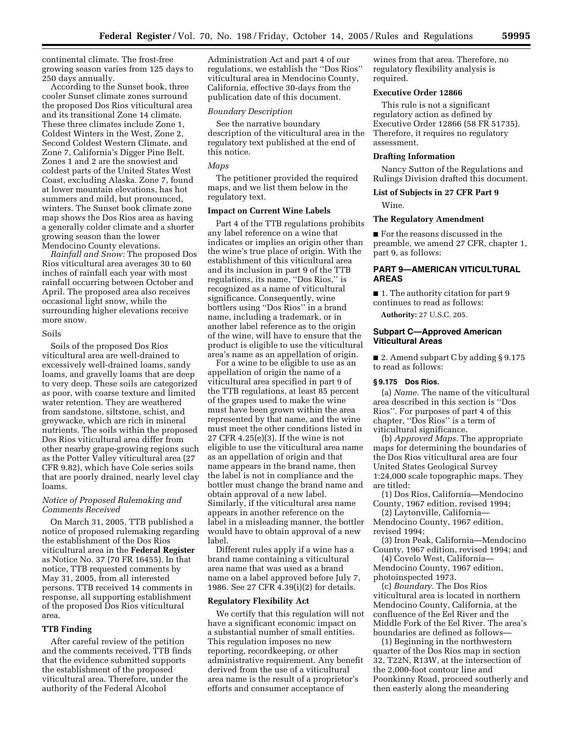continental climate. The frost-free growing season varies from 125 days to 250 days annually.

According to the Sunset book, three cooler Sunset climate zones surround the proposed Dos Rios viticultural area and its transitional Zone 14 climate. These three climates include Zone 1, Coldest Winters in the West, Zone 2, Second Coldest Western Climate, and Zone 7, California's Digger Pine Belt. Zones 1 and 2 are the snowiest and coldest parts of the United States West Coast, excluding Alaska. Zone 7, found at lower mountain elevations, has hot summers and mild, but pronounced, winters. The Sunset book climate zone map shows the Dos Rios area as having a generally colder climate and a shorter growing season than the lower Mendocino County elevations.

*Rainfall and Snow:* The proposed Dos Rios viticultural area averages 30 to 60 inches of rainfall each year with most rainfall occurring between October and April. The proposed area also receives occasional light snow, while the surrounding higher elevations receive more snow.

#### Soils

Soils of the proposed Dos Rios viticultural area are well-drained to excessively well-drained loams, sandy loams, and gravelly loams that are deep to very deep. These soils are categorized as poor, with coarse texture and limited water retention. They are weathered from sandstone, siltstone, schist, and greywacke, which are rich in mineral nutrients. The soils within the proposed Dos Rios viticultural area differ from other nearby grape-growing regions such as the Potter Valley viticultural area (27 CFR 9.82), which have Cole series soils that are poorly drained, nearly level clay loams.

## *Notice of Proposed Rulemaking and Comments Received*

On March 31, 2005, TTB published a notice of proposed rulemaking regarding the establishment of the Dos Rios viticultural area in the **Federal Register**  as Notice No. 37 (70 FR 16455). In that notice, TTB requested comments by May 31, 2005, from all interested persons. TTB received 14 comments in response, all supporting establishment of the proposed Dos Rios viticultural area.

## **TTB Finding**

After careful review of the petition and the comments received, TTB finds that the evidence submitted supports the establishment of the proposed viticultural area. Therefore, under the authority of the Federal Alcohol

Administration Act and part 4 of our regulations, we establish the ''Dos Rios'' viticultural area in Mendocino County, California, effective 30-days from the publication date of this document.

### *Boundary Description*

See the narrative boundary description of the viticultural area in the regulatory text published at the end of this notice.

## *Maps*

The petitioner provided the required maps, and we list them below in the regulatory text.

### **Impact on Current Wine Labels**

Part 4 of the TTB regulations prohibits any label reference on a wine that indicates or implies an origin other than the wine's true place of origin. With the establishment of this viticultural area and its inclusion in part 9 of the TTB regulations, its name, ''Dos Rios,'' is recognized as a name of viticultural significance. Consequently, wine bottlers using ''Dos Rios'' in a brand name, including a trademark, or in another label reference as to the origin of the wine, will have to ensure that the product is eligible to use the viticultural area's name as an appellation of origin.

For a wine to be eligible to use as an appellation of origin the name of a viticultural area specified in part 9 of the TTB regulations, at least 85 percent of the grapes used to make the wine must have been grown within the area represented by that name, and the wine must meet the other conditions listed in 27 CFR 4.25(e)(3). If the wine is not eligible to use the viticultural area name as an appellation of origin and that name appears in the brand name, then the label is not in compliance and the bottler must change the brand name and obtain approval of a new label. Similarly, if the viticultural area name appears in another reference on the label in a misleading manner, the bottler would have to obtain approval of a new label.

Different rules apply if a wine has a brand name containing a viticultural area name that was used as a brand name on a label approved before July 7, 1986. See 27 CFR 4.39(i)(2) for details.

#### **Regulatory Flexibility Act**

We certify that this regulation will not have a significant economic impact on a substantial number of small entities. This regulation imposes no new reporting, recordkeeping, or other administrative requirement. Any benefit derived from the use of a viticultural area name is the result of a proprietor's efforts and consumer acceptance of

wines from that area. Therefore, no regulatory flexibility analysis is required.

## **Executive Order 12866**

This rule is not a significant regulatory action as defined by Executive Order 12866 (58 FR 51735). Therefore, it requires no regulatory assessment.

#### **Drafting Information**

Nancy Sutton of the Regulations and Rulings Division drafted this document.

## **List of Subjects in 27 CFR Part 9**

Wine.

## **The Regulatory Amendment**

■ For the reasons discussed in the preamble, we amend 27 CFR, chapter 1, part 9, as follows:

## **PART 9—AMERICAN VITICULTURAL AREAS**

■ 1. The authority citation for part 9 continues to read as follows:

**Authority:** 27 U.S.C. 205.

## **Subpart C—Approved American Viticultural Areas**

■ 2. Amend subpart C by adding § 9.175 to read as follows:

#### **§ 9.175 Dos Rios.**

(a) *Name.* The name of the viticultural area described in this section is ''Dos Rios''. For purposes of part 4 of this chapter, ''Dos Rios'' is a term of viticultural significance.

(b) *Approved Maps.* The appropriate maps for determining the boundaries of the Dos Rios viticultural area are four United States Geological Survey 1:24,000 scale topographic maps. They are titled:

(1) Dos Rios, California—Mendocino County, 1967 edition, revised 1994;

(2) Laytonville, California— Mendocino County, 1967 edition, revised 1994;

(3) Iron Peak, California—Mendocino County, 1967 edition, revised 1994; and

(4) Covelo West, California— Mendocino County, 1967 edition, photoinspected 1973.

(c) *Boundary.* The Dos Rios viticultural area is located in northern Mendocino County, California, at the confluence of the Eel River and the Middle Fork of the Eel River. The area's boundaries are defined as follows—

(1) Beginning in the northwestern quarter of the Dos Rios map in section 32, T22N, R13W, at the intersection of the 2,000-foot contour line and Poonkinny Road, proceed southerly and then easterly along the meandering